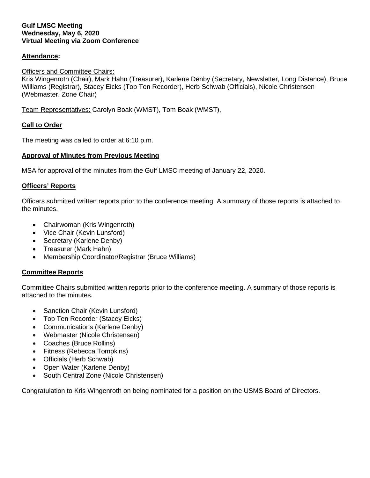#### **Gulf LMSC Meeting Wednesday, May 6, 2020 Virtual Meeting via Zoom Conference**

## **Attendance:**

## Officers and Committee Chairs:

Kris Wingenroth (Chair), Mark Hahn (Treasurer), Karlene Denby (Secretary, Newsletter, Long Distance), Bruce Williams (Registrar), Stacey Eicks (Top Ten Recorder), Herb Schwab (Officials), Nicole Christensen (Webmaster, Zone Chair)

Team Representatives: Carolyn Boak (WMST), Tom Boak (WMST),

#### **Call to Order**

The meeting was called to order at 6:10 p.m.

## **Approval of Minutes from Previous Meeting**

MSA for approval of the minutes from the Gulf LMSC meeting of January 22, 2020.

#### **Officers' Reports**

Officers submitted written reports prior to the conference meeting. A summary of those reports is attached to the minutes.

- Chairwoman (Kris Wingenroth)
- Vice Chair (Kevin Lunsford)
- Secretary (Karlene Denby)
- Treasurer (Mark Hahn)
- Membership Coordinator/Registrar (Bruce Williams)

## **Committee Reports**

Committee Chairs submitted written reports prior to the conference meeting. A summary of those reports is attached to the minutes.

- Sanction Chair (Kevin Lunsford)
- Top Ten Recorder (Stacey Eicks)
- Communications (Karlene Denby)
- Webmaster (Nicole Christensen)
- Coaches (Bruce Rollins)
- Fitness (Rebecca Tompkins)
- Officials (Herb Schwab)
- Open Water (Karlene Denby)
- South Central Zone (Nicole Christensen)

Congratulation to Kris Wingenroth on being nominated for a position on the USMS Board of Directors.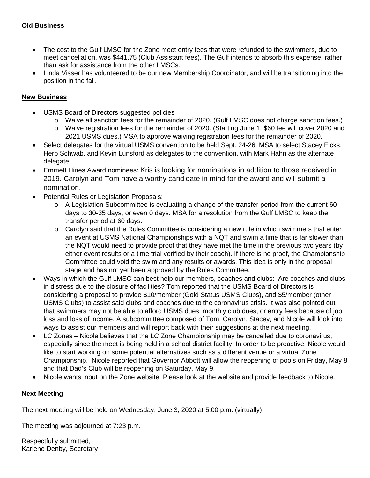- The cost to the Gulf LMSC for the Zone meet entry fees that were refunded to the swimmers, due to meet cancellation, was \$441.75 (Club Assistant fees). The Gulf intends to absorb this expense, rather than ask for assistance from the other LMSCs.
- Linda Visser has volunteered to be our new Membership Coordinator, and will be transitioning into the position in the fall.

# **New Business**

- USMS Board of Directors suggested policies
	- o Waive all sanction fees for the remainder of 2020. (Gulf LMSC does not charge sanction fees.)
	- o Waive registration fees for the remainder of 2020. (Starting June 1, \$60 fee will cover 2020 and 2021 USMS dues.) MSA to approve waiving registration fees for the remainder of 2020.
- Select delegates for the virtual USMS convention to be held Sept. 24-26. MSA to select Stacey Eicks, Herb Schwab, and Kevin Lunsford as delegates to the convention, with Mark Hahn as the alternate delegate.
- Emmett Hines Award nominees: Kris is looking for nominations in addition to those received in 2019. Carolyn and Tom have a worthy candidate in mind for the award and will submit a nomination.
- Potential Rules or Legislation Proposals:
	- o A Legislation Subcommittee is evaluating a change of the transfer period from the current 60 days to 30-35 days, or even 0 days. MSA for a resolution from the Gulf LMSC to keep the transfer period at 60 days.
	- o Carolyn said that the Rules Committee is considering a new rule in which swimmers that enter an event at USMS National Championships with a NQT and swim a time that is far slower than the NQT would need to provide proof that they have met the time in the previous two years (by either event results or a time trial verified by their coach). If there is no proof, the Championship Committee could void the swim and any results or awards. This idea is only in the proposal stage and has not yet been approved by the Rules Committee.
- Ways in which the Gulf LMSC can best help our members, coaches and clubs: Are coaches and clubs in distress due to the closure of facilities? Tom reported that the USMS Board of Directors is considering a proposal to provide \$10/member (Gold Status USMS Clubs), and \$5/member (other USMS Clubs) to assist said clubs and coaches due to the coronavirus crisis. It was also pointed out that swimmers may not be able to afford USMS dues, monthly club dues, or entry fees because of job loss and loss of income. A subcommittee composed of Tom, Carolyn, Stacey, and Nicole will look into ways to assist our members and will report back with their suggestions at the next meeting.
- LC Zones Nicole believes that the LC Zone Championship may be cancelled due to coronavirus, especially since the meet is being held in a school district facility. In order to be proactive, Nicole would like to start working on some potential alternatives such as a different venue or a virtual Zone Championship. Nicole reported that Governor Abbott will allow the reopening of pools on Friday, May 8 and that Dad's Club will be reopening on Saturday, May 9.
- Nicole wants input on the Zone website. Please look at the website and provide feedback to Nicole.

# **Next Meeting**

The next meeting will be held on Wednesday, June 3, 2020 at 5:00 p.m. (virtually)

The meeting was adjourned at 7:23 p.m.

Respectfully submitted, Karlene Denby, Secretary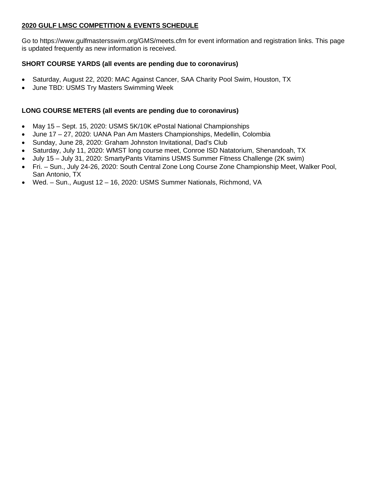# **2020 GULF LMSC COMPETITION & EVENTS SCHEDULE**

Go to https://www.gulfmastersswim.org/GMS/meets.cfm for event information and registration links. This page is updated frequently as new information is received.

# **SHORT COURSE YARDS (all events are pending due to coronavirus)**

- Saturday, August 22, 2020: MAC Against Cancer, SAA Charity Pool Swim, Houston, TX
- June TBD: USMS Try Masters Swimming Week

## **LONG COURSE METERS (all events are pending due to coronavirus)**

- May 15 Sept. 15, 2020: USMS 5K/10K ePostal National Championships
- June 17 27, 2020: UANA Pan Am Masters Championships, Medellin, Colombia
- Sunday, June 28, 2020: Graham Johnston Invitational, Dad's Club
- Saturday, July 11, 2020: WMST long course meet, Conroe ISD Natatorium, Shenandoah, TX
- July 15 July 31, 2020: SmartyPants Vitamins USMS Summer Fitness Challenge (2K swim)
- Fri. Sun., July 24-26, 2020: South Central Zone Long Course Zone Championship Meet, Walker Pool, San Antonio, TX
- Wed. Sun., August 12 16, 2020: USMS Summer Nationals, Richmond, VA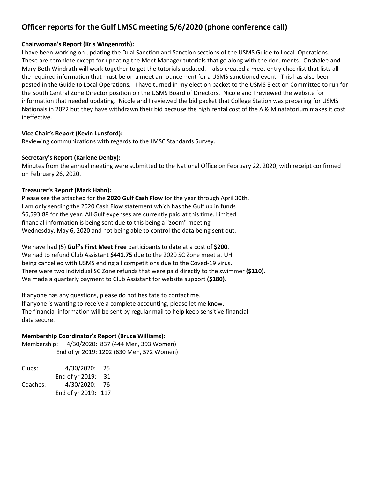# **Officer reports for the Gulf LMSC meeting 5/6/2020 (phone conference call)**

#### **Chairwoman's Report (Kris Wingenroth):**

I have been working on updating the Dual Sanction and Sanction sections of the USMS Guide to Local Operations. These are complete except for updating the Meet Manager tutorials that go along with the documents. Onshalee and Mary Beth Windrath will work together to get the tutorials updated. I also created a meet entry checklist that lists all the required information that must be on a meet announcement for a USMS sanctioned event. This has also been posted in the Guide to Local Operations. I have turned in my election packet to the USMS Election Committee to run for the South Central Zone Director position on the USMS Board of Directors. Nicole and I reviewed the website for information that needed updating. Nicole and I reviewed the bid packet that College Station was preparing for USMS Nationals in 2022 but they have withdrawn their bid because the high rental cost of the A & M natatorium makes it cost ineffective.

#### **Vice Chair's Report (Kevin Lunsford):**

Reviewing communications with regards to the LMSC Standards Survey.

#### **Secretary's Report (Karlene Denby):**

Minutes from the annual meeting were submitted to the National Office on February 22, 2020, with receipt confirmed on February 26, 2020.

#### **Treasurer's Report (Mark Hahn):**

Please see the attached for the **2020 Gulf Cash Flow** for the year through April 30th. I am only sending the 2020 Cash Flow statement which has the Gulf up in funds \$6,593.88 for the year. All Gulf expenses are currently paid at this time. Limited financial information is being sent due to this being a "zoom" meeting Wednesday, May 6, 2020 and not being able to control the data being sent out.

We have had (5) **Gulf's First Meet Free** participants to date at a cost of **\$200**. We had to refund Club Assistant **\$441.75** due to the 2020 SC Zone meet at UH being cancelled with USMS ending all competitions due to the Coved-19 virus. There were two individual SC Zone refunds that were paid directly to the swimmer **(\$110)**. We made a quarterly payment to Club Assistant for website support **(\$180)**.

If anyone has any questions, please do not hesitate to contact me. If anyone is wanting to receive a complete accounting, please let me know. The financial information will be sent by regular mail to help keep sensitive financial data secure.

## **Membership Coordinator's Report (Bruce Williams):**

Membership: 4/30/2020: 837 (444 Men, 393 Women) End of yr 2019: 1202 (630 Men, 572 Women)

| Clubs:   | 4/30/2020:          | 25   |
|----------|---------------------|------|
|          | End of yr 2019:     | 31   |
| Coaches: | 4/30/2020:          | - 76 |
|          | End of yr 2019: 117 |      |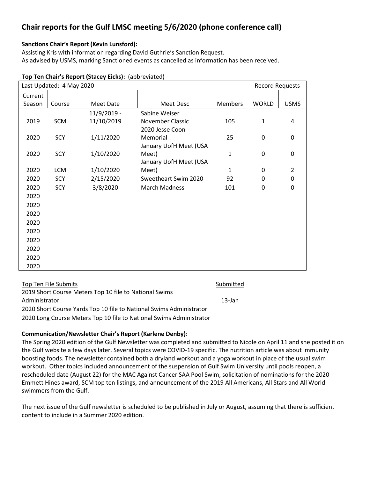# **Chair reports for the Gulf LMSC meeting 5/6/2020 (phone conference call)**

## **Sanctions Chair's Report (Kevin Lunsford):**

Assisting Kris with information regarding David Guthrie's Sanction Request. As advised by USMS, marking Sanctioned events as cancelled as information has been received.

## **Top Ten Chair's Report (Stacey Eicks):** (abbreviated)

| Last Updated: 4 May 2020 |            |             | <b>Record Requests</b> |                |              |                |
|--------------------------|------------|-------------|------------------------|----------------|--------------|----------------|
| Current                  |            |             |                        |                |              |                |
| Season                   | Course     | Meet Date   | Meet Desc              | <b>Members</b> | <b>WORLD</b> | <b>USMS</b>    |
|                          |            | 11/9/2019 - | Sabine Weiser          |                |              |                |
| 2019                     | SCM        | 11/10/2019  | November Classic       | 105            | $\mathbf{1}$ | 4              |
|                          |            |             | 2020 Jesse Coon        |                |              |                |
| 2020                     | SCY        | 1/11/2020   | Memorial               | 25             | $\mathbf 0$  | 0              |
|                          |            |             | January UofH Meet (USA |                |              |                |
| 2020                     | SCY        | 1/10/2020   | Meet)                  | 1              | $\mathbf 0$  | 0              |
|                          |            |             | January UofH Meet (USA |                |              |                |
| 2020                     | <b>LCM</b> | 1/10/2020   | Meet)                  | $\mathbf{1}$   | 0            | $\overline{2}$ |
| 2020                     | SCY        | 2/15/2020   | Sweetheart Swim 2020   | 92             | 0            | 0              |
| 2020                     | SCY        | 3/8/2020    | <b>March Madness</b>   | 101            | 0            | 0              |
| 2020                     |            |             |                        |                |              |                |
| 2020                     |            |             |                        |                |              |                |
| 2020                     |            |             |                        |                |              |                |
| 2020                     |            |             |                        |                |              |                |
| 2020                     |            |             |                        |                |              |                |
| 2020                     |            |             |                        |                |              |                |
| 2020                     |            |             |                        |                |              |                |
| 2020                     |            |             |                        |                |              |                |
| 2020                     |            |             |                        |                |              |                |

| Top Ten File Submits                                                | Submitted |
|---------------------------------------------------------------------|-----------|
| 2019 Short Course Meters Top 10 file to National Swims              |           |
| Administrator                                                       | 13-Jan    |
| 2020 Short Course Yards Top 10 file to National Swims Administrator |           |
| 2020 Long Course Meters Top 10 file to National Swims Administrator |           |

#### **Communication/Newsletter Chair's Report (Karlene Denby):**

The Spring 2020 edition of the Gulf Newsletter was completed and submitted to Nicole on April 11 and she posted it on the Gulf website a few days later. Several topics were COVID-19 specific. The nutrition article was about immunity boosting foods. The newsletter contained both a dryland workout and a yoga workout in place of the usual swim workout. Other topics included announcement of the suspension of Gulf Swim University until pools reopen, a rescheduled date (August 22) for the MAC Against Cancer SAA Pool Swim, solicitation of nominations for the 2020 Emmett Hines award, SCM top ten listings, and announcement of the 2019 All Americans, All Stars and All World swimmers from the Gulf.

The next issue of the Gulf newsletter is scheduled to be published in July or August, assuming that there is sufficient content to include in a Summer 2020 edition.